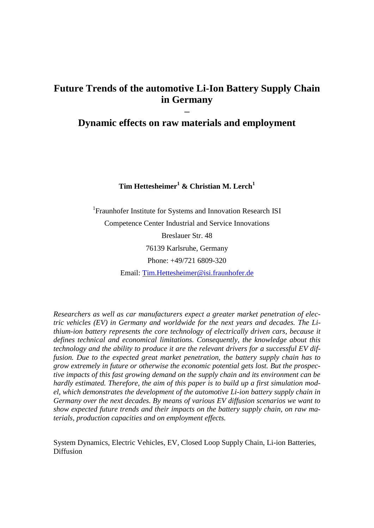# **Future Trends of the automotive Li-Ion Battery Supply Chain in Germany**

# **– Dynamic effects on raw materials and employment**

## **Tim Hettesheimer<sup>1</sup> & Christian M. Lerch<sup>1</sup>**

<sup>1</sup> Fraunhofer Institute for Systems and Innovation Research ISI Competence Center Industrial and Service Innovations Breslauer Str. 48

> 76139 Karlsruhe, Germany Phone: +49/721 6809-320

Email: [Tim.Hettesheimer@isi.fraunhofer.de](mailto:Tim.Hettesheimer@isi.fraunhofer.de)

*Researchers as well as car manufacturers expect a greater market penetration of electric vehicles (EV) in Germany and worldwide for the next years and decades. The Lithium-ion battery represents the core technology of electrically driven cars, because it defines technical and economical limitations. Consequently, the knowledge about this technology and the ability to produce it are the relevant drivers for a successful EV diffusion. Due to the expected great market penetration, the battery supply chain has to grow extremely in future or otherwise the economic potential gets lost. But the prospective impacts of this fast growing demand on the supply chain and its environment can be hardly estimated. Therefore, the aim of this paper is to build up a first simulation model, which demonstrates the development of the automotive Li-ion battery supply chain in Germany over the next decades. By means of various EV diffusion scenarios we want to show expected future trends and their impacts on the battery supply chain, on raw materials, production capacities and on employment effects.*

System Dynamics, Electric Vehicles, EV, Closed Loop Supply Chain, Li-ion Batteries, Diffusion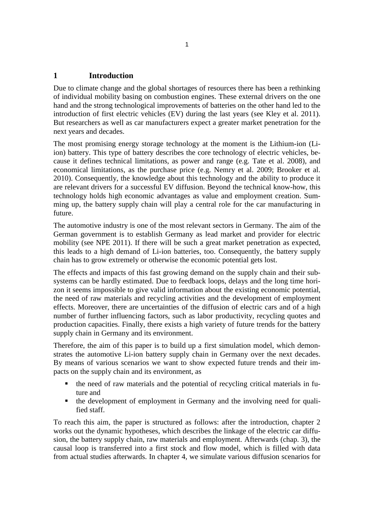## **1 Introduction**

Due to climate change and the global shortages of resources there has been a rethinking of individual mobility basing on combustion engines. These external drivers on the one hand and the strong technological improvements of batteries on the other hand led to the introduction of first electric vehicles (EV) during the last years (see Kley et al. 2011). But researchers as well as car manufacturers expect a greater market penetration for the next years and decades.

The most promising energy storage technology at the moment is the Lithium-ion (Liion) battery. This type of battery describes the core technology of electric vehicles, because it defines technical limitations, as power and range (e.g. Tate et al. 2008), and economical limitations, as the purchase price (e.g. Nemry et al. 2009; Brooker et al. 2010). Consequently, the knowledge about this technology and the ability to produce it are relevant drivers for a successful EV diffusion. Beyond the technical know-how, this technology holds high economic advantages as value and employment creation. Summing up, the battery supply chain will play a central role for the car manufacturing in future.

The automotive industry is one of the most relevant sectors in Germany. The aim of the German government is to establish Germany as lead market and provider for electric mobility (see NPE 2011). If there will be such a great market penetration as expected, this leads to a high demand of Li-ion batteries, too. Consequently, the battery supply chain has to grow extremely or otherwise the economic potential gets lost.

The effects and impacts of this fast growing demand on the supply chain and their subsystems can be hardly estimated. Due to feedback loops, delays and the long time horizon it seems impossible to give valid information about the existing economic potential, the need of raw materials and recycling activities and the development of employment effects. Moreover, there are uncertainties of the diffusion of electric cars and of a high number of further influencing factors, such as labor productivity, recycling quotes and production capacities. Finally, there exists a high variety of future trends for the battery supply chain in Germany and its environment.

Therefore, the aim of this paper is to build up a first simulation model, which demonstrates the automotive Li-ion battery supply chain in Germany over the next decades. By means of various scenarios we want to show expected future trends and their impacts on the supply chain and its environment, as

- the need of raw materials and the potential of recycling critical materials in future and
- the development of employment in Germany and the involving need for qualified staff.

To reach this aim, the paper is structured as follows: after the introduction, chapter 2 works out the dynamic hypotheses, which describes the linkage of the electric car diffusion, the battery supply chain, raw materials and employment. Afterwards (chap. 3), the causal loop is transferred into a first stock and flow model, which is filled with data from actual studies afterwards. In chapter 4, we simulate various diffusion scenarios for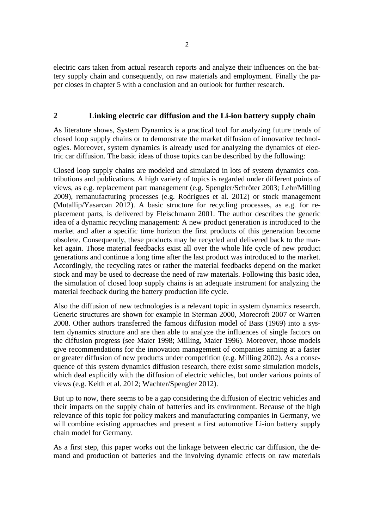electric cars taken from actual research reports and analyze their influences on the battery supply chain and consequently, on raw materials and employment. Finally the paper closes in chapter 5 with a conclusion and an outlook for further research.

#### **2 Linking electric car diffusion and the Li-ion battery supply chain**

As literature shows, System Dynamics is a practical tool for analyzing future trends of closed loop supply chains or to demonstrate the market diffusion of innovative technologies. Moreover, system dynamics is already used for analyzing the dynamics of electric car diffusion. The basic ideas of those topics can be described by the following:

Closed loop supply chains are modeled and simulated in lots of system dynamics contributions and publications. A high variety of topics is regarded under different points of views, as e.g. replacement part management (e.g. Spengler/Schröter 2003; Lehr/Milling 2009), remanufacturing processes (e.g. Rodrigues et al. 2012) or stock management (Mutallip/Yasarcan 2012). A basic structure for recycling processes, as e.g. for replacement parts, is delivered by Fleischmann 2001. The author describes the generic idea of a dynamic recycling management: A new product generation is introduced to the market and after a specific time horizon the first products of this generation become obsolete. Consequently, these products may be recycled and delivered back to the market again. Those material feedbacks exist all over the whole life cycle of new product generations and continue a long time after the last product was introduced to the market. Accordingly, the recycling rates or rather the material feedbacks depend on the market stock and may be used to decrease the need of raw materials. Following this basic idea, the simulation of closed loop supply chains is an adequate instrument for analyzing the material feedback during the battery production life cycle.

Also the diffusion of new technologies is a relevant topic in system dynamics research. Generic structures are shown for example in Sterman 2000, Morecroft 2007 or Warren 2008. Other authors transferred the famous diffusion model of Bass (1969) into a system dynamics structure and are then able to analyze the influences of single factors on the diffusion progress (see Maier 1998; Milling, Maier 1996). Moreover, those models give recommendations for the innovation management of companies aiming at a faster or greater diffusion of new products under competition (e.g. Milling 2002). As a consequence of this system dynamics diffusion research, there exist some simulation models, which deal explicitly with the diffusion of electric vehicles, but under various points of views (e.g. Keith et al. 2012; Wachter/Spengler 2012).

But up to now, there seems to be a gap considering the diffusion of electric vehicles and their impacts on the supply chain of batteries and its environment. Because of the high relevance of this topic for policy makers and manufacturing companies in Germany, we will combine existing approaches and present a first automotive Li-ion battery supply chain model for Germany.

As a first step, this paper works out the linkage between electric car diffusion, the demand and production of batteries and the involving dynamic effects on raw materials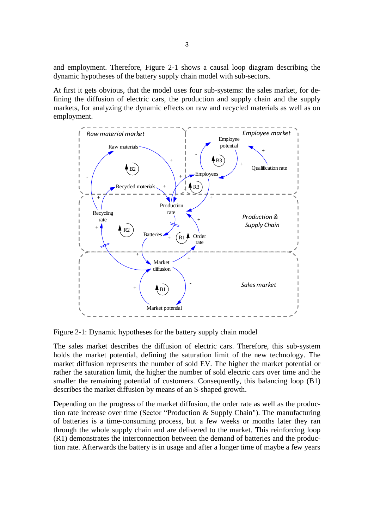and employment. Therefore, [Figure 2-1](#page-3-0) shows a causal loop diagram describing the dynamic hypotheses of the battery supply chain model with sub-sectors.

At first it gets obvious, that the model uses four sub-systems: the sales market, for defining the diffusion of electric cars, the production and supply chain and the supply markets, for analyzing the dynamic effects on raw and recycled materials as well as on employment.



<span id="page-3-0"></span>Figure 2-1: Dynamic hypotheses for the battery supply chain model

The sales market describes the diffusion of electric cars. Therefore, this sub-system holds the market potential, defining the saturation limit of the new technology. The market diffusion represents the number of sold EV. The higher the market potential or rather the saturation limit, the higher the number of sold electric cars over time and the smaller the remaining potential of customers. Consequently, this balancing loop  $(B1)$ describes the market diffusion by means of an S-shaped growth.

Depending on the progress of the market diffusion, the order rate as well as the production rate increase over time (Sector "Production & Supply Chain"). The manufacturing of batteries is a time-consuming process, but a few weeks or months later they ran through the whole supply chain and are delivered to the market. This reinforcing loop (R1) demonstrates the interconnection between the demand of batteries and the production rate. Afterwards the battery is in usage and after a longer time of maybe a few years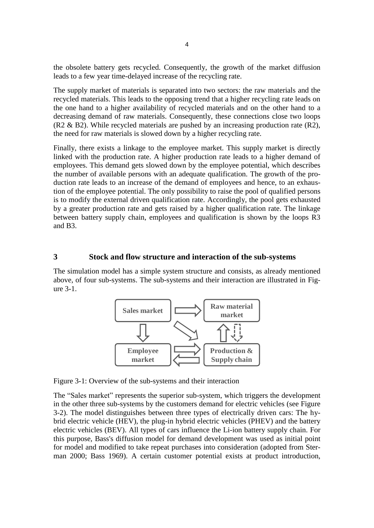the obsolete battery gets recycled. Consequently, the growth of the market diffusion leads to a few year time-delayed increase of the recycling rate.

The supply market of materials is separated into two sectors: the raw materials and the recycled materials. This leads to the opposing trend that a higher recycling rate leads on the one hand to a higher availability of recycled materials and on the other hand to a decreasing demand of raw materials. Consequently, these connections close two loops  $(R2 \& B2)$ . While recycled materials are pushed by an increasing production rate  $(R2)$ , the need for raw materials is slowed down by a higher recycling rate.

Finally, there exists a linkage to the employee market. This supply market is directly linked with the production rate. A higher production rate leads to a higher demand of employees. This demand gets slowed down by the employee potential, which describes the number of available persons with an adequate qualification. The growth of the production rate leads to an increase of the demand of employees and hence, to an exhaustion of the employee potential. The only possibility to raise the pool of qualified persons is to modify the external driven qualification rate. Accordingly, the pool gets exhausted by a greater production rate and gets raised by a higher qualification rate. The linkage between battery supply chain, employees and qualification is shown by the loops R3 and B3.

## **3 Stock and flow structure and interaction of the sub-systems**

The simulation model has a simple system structure and consists, as already mentioned above, of four sub-systems. The sub-systems and their interaction are illustrated in [Fig](#page-4-0)[ure 3-1.](#page-4-0)



<span id="page-4-0"></span>Figure 3-1: Overview of the sub-systems and their interaction

The "Sales market" represents the superior sub-system, which triggers the development in the other three sub-systems by the customers demand for electric vehicles (see [Figure](#page-5-0)  [3-2\)](#page-5-0). The model distinguishes between three types of electrically driven cars: The hybrid electric vehicle (HEV), the plug-in hybrid electric vehicles (PHEV) and the battery electric vehicles (BEV). All types of cars influence the Li-ion battery supply chain. For this purpose, Bass's diffusion model for demand development was used as initial point for model and modified to take repeat purchases into consideration (adopted from Sterman 2000; Bass 1969). A certain customer potential exists at product introduction,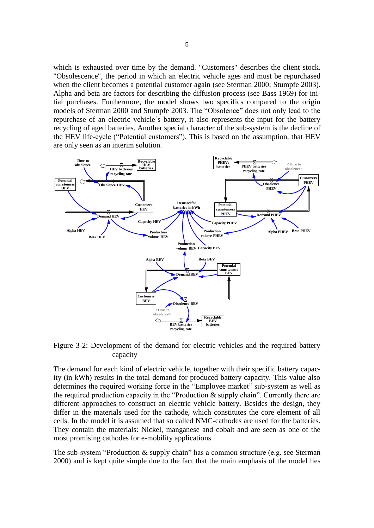which is exhausted over time by the demand. "Customers" describes the client stock. "Obsolescence", the period in which an electric vehicle ages and must be repurchased when the client becomes a potential customer again (see Sterman 2000; Stumpfe 2003). Alpha and beta are factors for describing the diffusion process (see Bass 1969) for initial purchases. Furthermore, the model shows two specifics compared to the origin models of Sterman 2000 and Stumpfe 2003. The "Obsolence" does not only lead to the repurchase of an electric vehicle´s battery, it also represents the input for the battery recycling of aged batteries. Another special character of the sub-system is the decline of the HEV life-cycle ("Potential customers"). This is based on the assumption, that HEV are only seen as an interim solution.



<span id="page-5-0"></span>Figure 3-2: Development of the demand for electric vehicles and the required battery capacity

The demand for each kind of electric vehicle, together with their specific battery capacity (in kWh) results in the total demand for produced battery capacity. This value also determines the required working force in the "Employee market" sub-system as well as the required production capacity in the "Production & supply chain". Currently there are different approaches to construct an electric vehicle battery. Besides the design, they differ in the materials used for the cathode, which constitutes the core element of all cells. In the model it is assumed that so called NMC-cathodes are used for the batteries. They contain the materials: Nickel, manganese and cobalt and are seen as one of the most promising cathodes for e-mobility applications.

The sub-system "Production & supply chain" has a common structure (e.g. see Sterman 2000) and is kept quite simple due to the fact that the main emphasis of the model lies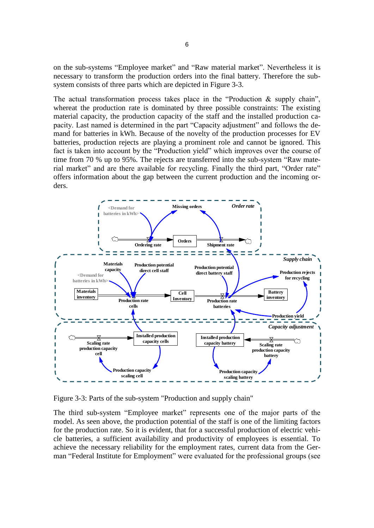on the sub-systems "Employee market" and "Raw material market". Nevertheless it is necessary to transform the production orders into the final battery. Therefore the subsystem consists of three parts which are depicted in [Figure 3-3.](#page-6-0)

The actual transformation process takes place in the "Production  $\&$  supply chain", whereat the production rate is dominated by three possible constraints: The existing material capacity, the production capacity of the staff and the installed production capacity. Last named is determined in the part "Capacity adjustment" and follows the demand for batteries in kWh. Because of the novelty of the production processes for EV batteries, production rejects are playing a prominent role and cannot be ignored. This fact is taken into account by the "Production yield" which improves over the course of time from 70 % up to 95%. The rejects are transferred into the sub-system "Raw material market" and are there available for recycling. Finally the third part, "Order rate" offers information about the gap between the current production and the incoming orders.



<span id="page-6-0"></span>Figure 3-3: Parts of the sub-system "Production and supply chain"

The third sub-system "Employee market" represents one of the major parts of the model. As seen above, the production potential of the staff is one of the limiting factors for the production rate. So it is evident, that for a successful production of electric vehicle batteries, a sufficient availability and productivity of employees is essential. To achieve the necessary reliability for the employment rates, current data from the German "Federal Institute for Employment" were evaluated for the professional groups (see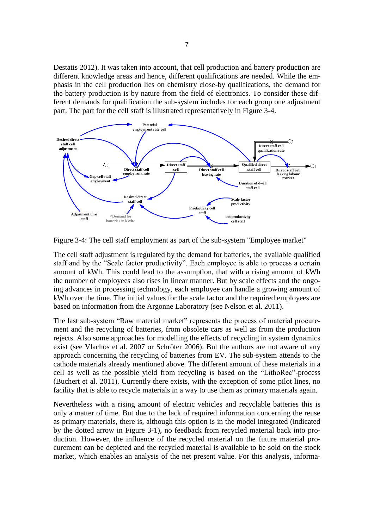Destatis 2012). It was taken into account, that cell production and battery production are different knowledge areas and hence, different qualifications are needed. While the emphasis in the cell production lies on chemistry close-by qualifications, the demand for the battery production is by nature from the field of electronics. To consider these different demands for qualification the sub-system includes for each group one adjustment part. The part for the cell staff is illustrated representatively in [Figure 3-4.](#page-7-0)



<span id="page-7-0"></span>Figure 3-4: The cell staff employment as part of the sub-system "Employee market"

The cell staff adjustment is regulated by the demand for batteries, the available qualified staff and by the "Scale factor productivity". Each employee is able to process a certain amount of kWh. This could lead to the assumption, that with a rising amount of kWh the number of employees also rises in linear manner. But by scale effects and the ongoing advances in processing technology, each employee can handle a growing amount of kWh over the time. The initial values for the scale factor and the required employees are based on information from the Argonne Laboratory (see Nelson et al. 2011).

The last sub-system "Raw material market" represents the process of material procurement and the recycling of batteries, from obsolete cars as well as from the production rejects. Also some approaches for modelling the effects of recycling in system dynamics exist (see Vlachos et al. 2007 or Schröter 2006). But the authors are not aware of any approach concerning the recycling of batteries from EV. The sub-system attends to the cathode materials already mentioned above. The different amount of these materials in a cell as well as the possible yield from recycling is based on the "LithoRec"-process (Buchert et al. 2011). Currently there exists, with the exception of some pilot lines, no facility that is able to recycle materials in a way to use them as primary materials again.

Nevertheless with a rising amount of electric vehicles and recyclable batteries this is only a matter of time. But due to the lack of required information concerning the reuse as primary materials, there is, although this option is in the model integrated (indicated by the dotted arrow in [Figure 3-1\)](#page-4-0), no feedback from recycled material back into production. However, the influence of the recycled material on the future material procurement can be depicted and the recycled material is available to be sold on the stock market, which enables an analysis of the net present value. For this analysis, informa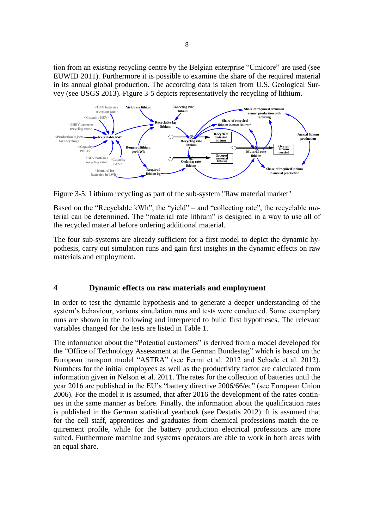tion from an existing recycling centre by the Belgian enterprise "Umicore" are used (see EUWID 2011). Furthermore it is possible to examine the share of the required material in its annual global production. The according data is taken from U.S. Geological Survey (see USGS 2013). [Figure 3-5](#page-8-0) depicts representatively the recycling of lithium.



<span id="page-8-0"></span>Figure 3-5: Lithium recycling as part of the sub-system "Raw material market"

Based on the "Recyclable kWh", the "yield" – and "collecting rate", the recyclable material can be determined. The "material rate lithium" is designed in a way to use all of the recycled material before ordering additional material.

The four sub-systems are already sufficient for a first model to depict the dynamic hypothesis, carry out simulation runs and gain first insights in the dynamic effects on raw materials and employment.

## **4 Dynamic effects on raw materials and employment**

In order to test the dynamic hypothesis and to generate a deeper understanding of the system's behaviour, various simulation runs and tests were conducted. Some exemplary runs are shown in the following and interpreted to build first hypotheses. The relevant variables changed for the tests are listed in [Table 1.](#page-9-0)

The information about the "Potential customers" is derived from a model developed for the "Office of Technology Assessment at the German Bundestag" which is based on the European transport model "ASTRA" (see Fermi et al. 2012 and Schade et al. 2012). Numbers for the initial employees as well as the productivity factor are calculated from information given in Nelson et al. 2011. The rates for the collection of batteries until the year 2016 are published in the EU's "battery directive 2006/66/ec" (see European Union 2006). For the model it is assumed, that after 2016 the development of the rates continues in the same manner as before. Finally, the information about the qualification rates is published in the German statistical yearbook (see Destatis 2012). It is assumed that for the cell staff, apprentices and graduates from chemical professions match the requirement profile, while for the battery production electrical professions are more suited. Furthermore machine and systems operators are able to work in both areas with an equal share.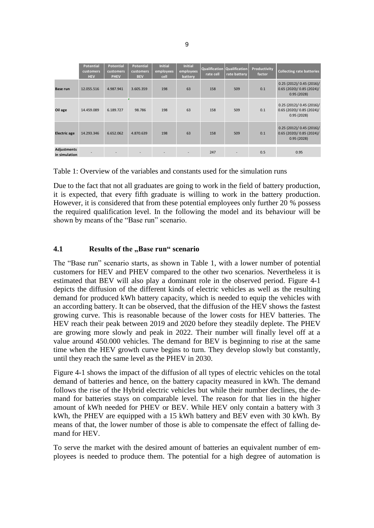|                                     | <b>Potential</b><br>customers<br><b>HEV</b> | <b>Potential</b><br>customers<br><b>PHEV</b> | Potential<br>customers<br><b>BEV</b> | <b>Initial</b><br>employees<br>cell | <b>Initial</b><br>employees<br>battery | <b>Qualification</b><br>rate cell | <b>Qualification</b><br>rate battery | Productivity<br>factor | <b>Collecting rate batteries</b>                               |
|-------------------------------------|---------------------------------------------|----------------------------------------------|--------------------------------------|-------------------------------------|----------------------------------------|-----------------------------------|--------------------------------------|------------------------|----------------------------------------------------------------|
| <b>Base run</b>                     | 12.055.516                                  | 4.987.941                                    | 3.605.359                            | 198                                 | 63                                     | 158                               | 509                                  | 0.1                    | 0.25(2012)/0.45(2016)/<br>0.65(2020)/0.85(2024)/<br>0.95(2028) |
| Oil age                             | 14.459.089                                  | 6.189.727                                    | 98.786                               | 198                                 | 63                                     | 158                               | 509                                  | 0.1                    | 0.25(2012)/0.45(2016)/<br>0.65(2020)/0.85(2024)/<br>0.95(2028) |
| <b>Electric age</b>                 | 14.293.346                                  | 6.652.062                                    | 4.870.639                            | 198                                 | 63                                     | 158                               | 509                                  | 0.1                    | 0.25(2012)/0.45(2016)/<br>0.65(2020)/0.85(2024)/<br>0.95(2028) |
| <b>Adjustments</b><br>in simulation |                                             |                                              |                                      |                                     |                                        | 247                               | ٠                                    | 0.5                    | 0.95                                                           |

<span id="page-9-0"></span>Table 1: Overview of the variables and constants used for the simulation runs

Due to the fact that not all graduates are going to work in the field of battery production, it is expected, that every fifth graduate is willing to work in the battery production. However, it is considered that from these potential employees only further 20 % possess the required qualification level. In the following the model and its behaviour will be shown by means of the "Base run" scenario.

## **4.1 Results of the "Base run" scenario**

The "Base run" scenario starts, as shown in [Table 1,](#page-9-0) with a lower number of potential customers for HEV and PHEV compared to the other two scenarios. Nevertheless it is estimated that BEV will also play a dominant role in the observed period. [Figure 4-1](#page-10-0) depicts the diffusion of the different kinds of electric vehicles as well as the resulting demand for produced kWh battery capacity, which is needed to equip the vehicles with an according battery. It can be observed, that the diffusion of the HEV shows the fastest growing curve. This is reasonable because of the lower costs for HEV batteries. The HEV reach their peak between 2019 and 2020 before they steadily deplete. The PHEV are growing more slowly and peak in 2022. Their number will finally level off at a value around 450.000 vehicles. The demand for BEV is beginning to rise at the same time when the HEV growth curve begins to turn. They develop slowly but constantly, until they reach the same level as the PHEV in 2030.

[Figure 4-1](#page-10-0) shows the impact of the diffusion of all types of electric vehicles on the total demand of batteries and hence, on the battery capacity measured in kWh. The demand follows the rise of the Hybrid electric vehicles but while their number declines, the demand for batteries stays on comparable level. The reason for that lies in the higher amount of kWh needed for PHEV or BEV. While HEV only contain a battery with 3 kWh, the PHEV are equipped with a 15 kWh battery and BEV even with 30 kWh. By means of that, the lower number of those is able to compensate the effect of falling demand for HEV.

To serve the market with the desired amount of batteries an equivalent number of employees is needed to produce them. The potential for a high degree of automation is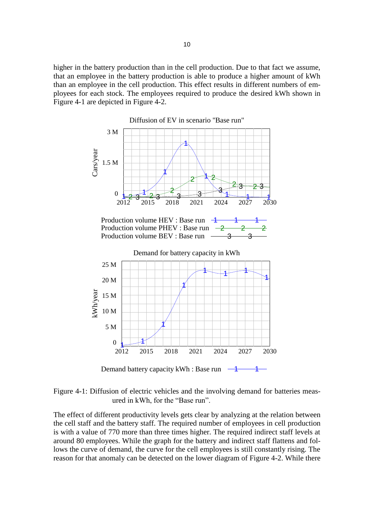higher in the battery production than in the cell production. Due to that fact we assume, that an employee in the battery production is able to produce a higher amount of kWh than an employee in the cell production. This effect results in different numbers of employees for each stock. The employees required to produce the desired kWh shown in [Figure 4-1](#page-10-0) are depicted in [Figure 4-2.](#page-11-0)



<span id="page-10-0"></span>Figure 4-1: Diffusion of electric vehicles and the involving demand for batteries measured in kWh, for the "Base run".

The effect of different productivity levels gets clear by analyzing at the relation between the cell staff and the battery staff. The required number of employees in cell production is with a value of 770 more than three times higher. The required indirect staff levels at around 80 employees. While the graph for the battery and indirect staff flattens and follows the curve of demand, the curve for the cell employees is still constantly rising. The reason for that anomaly can be detected on the lower diagram of [Figure 4-2.](#page-11-0) While there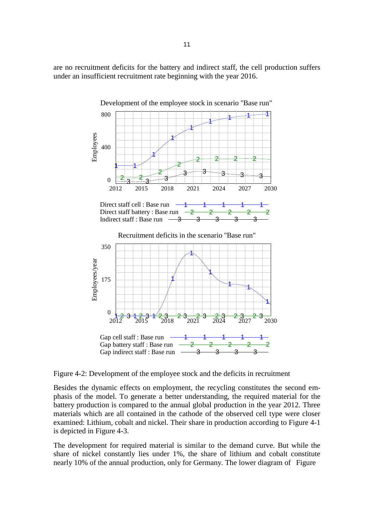are no recruitment deficits for the battery and indirect staff, the cell production suffers under an insufficient recruitment rate beginning with the year 2016.



<span id="page-11-0"></span>Figure 4-2: Development of the employee stock and the deficits in recruitment

Besides the dynamic effects on employment, the recycling constitutes the second emphasis of the model. To generate a better understanding, the required material for the battery production is compared to the annual global production in the year 2012. Three materials which are all contained in the cathode of the observed cell type were closer examined: Lithium, cobalt and nickel. Their share in production according to [Figure 4-1](#page-10-0) is depicted in [Figure 4-3.](#page-12-0)

The development for required material is similar to the demand curve. But while the share of nickel constantly lies under 1%, the share of lithium and cobalt constitute nearly 10% of the annual production, only for Germany. The lower diagram of [Figure](#page-12-0)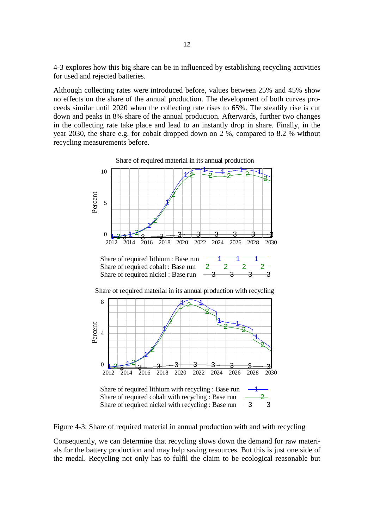4-3 explores how this big share can be in influenced by establishing recycling activities for used and rejected batteries.

Although collecting rates were introduced before, values between 25% and 45% show no effects on the share of the annual production. The development of both curves proceeds similar until 2020 when the collecting rate rises to 65%. The steadily rise is cut down and peaks in 8% share of the annual production. Afterwards, further two changes in the collecting rate take place and lead to an instantly drop in share. Finally, in the year 2030, the share e.g. for cobalt dropped down on 2 %, compared to 8.2 % without recycling measurements before.



<span id="page-12-0"></span>Figure 4-3: Share of required material in annual production with and with recycling

Consequently, we can determine that recycling slows down the demand for raw materials for the battery production and may help saving resources. But this is just one side of the medal. Recycling not only has to fulfil the claim to be ecological reasonable but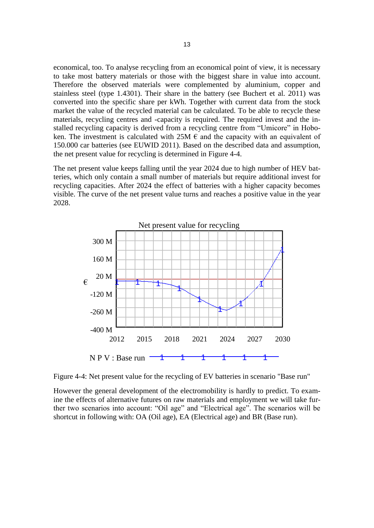economical, too. To analyse recycling from an economical point of view, it is necessary to take most battery materials or those with the biggest share in value into account. Therefore the observed materials were complemented by aluminium, copper and stainless steel (type 1.4301). Their share in the battery (see Buchert et al. 2011) was converted into the specific share per kWh. Together with current data from the stock market the value of the recycled material can be calculated. To be able to recycle these materials, recycling centres and -capacity is required. The required invest and the installed recycling capacity is derived from a recycling centre from "Umicore" in Hoboken. The investment is calculated with  $25M \in$  and the capacity with an equivalent of 150.000 car batteries (see EUWID 2011). Based on the described data and assumption, the net present value for recycling is determined in [Figure 4-4.](#page-13-0)

The net present value keeps falling until the year 2024 due to high number of HEV batteries, which only contain a small number of materials but require additional invest for recycling capacities. After 2024 the effect of batteries with a higher capacity becomes visible. The curve of the net present value turns and reaches a positive value in the year 2028.



<span id="page-13-0"></span>Figure 4-4: Net present value for the recycling of EV batteries in scenario "Base run"

However the general development of the electromobility is hardly to predict. To examine the effects of alternative futures on raw materials and employment we will take further two scenarios into account: "Oil age" and "Electrical age". The scenarios will be shortcut in following with: OA (Oil age), EA (Electrical age) and BR (Base run).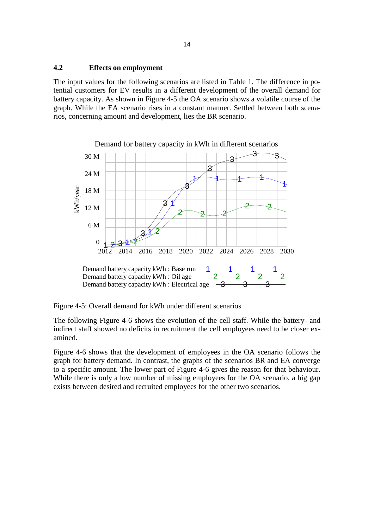#### <span id="page-14-1"></span>**4.2 Effects on employment**

The input values for the following scenarios are listed in [Table 1.](#page-9-0) The difference in potential customers for EV results in a different development of the overall demand for battery capacity. As shown in [Figure 4-5](#page-14-0) the OA scenario shows a volatile course of the graph. While the EA scenario rises in a constant manner. Settled between both scenarios, concerning amount and development, lies the BR scenario.



<span id="page-14-0"></span>Figure 4-5: Overall demand for kWh under different scenarios

The following Figure 4-6 shows the evolution of the cell staff. While the battery- and indirect staff showed no deficits in recruitment the cell employees need to be closer examined.

Figure 4-6 shows that the development of employees in the OA scenario follows the graph for battery demand. In contrast, the graphs of the scenarios BR and EA converge to a specific amount. The lower part of Figure 4-6 gives the reason for that behaviour. While there is only a low number of missing employees for the OA scenario, a big gap exists between desired and recruited employees for the other two scenarios.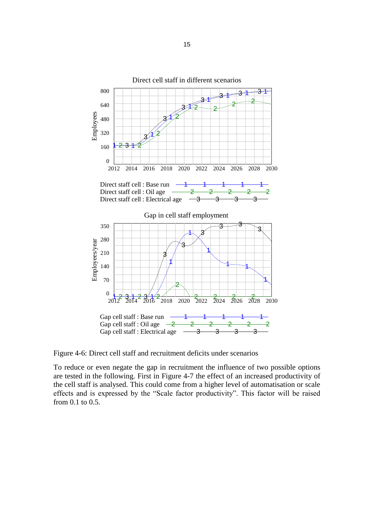

Figure 4-6: Direct cell staff and recruitment deficits under scenarios

To reduce or even negate the gap in recruitment the influence of two possible options are tested in the following. First in [Figure 4-7](#page-16-0) the effect of an increased productivity of the cell staff is analysed. This could come from a higher level of automatisation or scale effects and is expressed by the "Scale factor productivity". This factor will be raised from 0.1 to 0.5.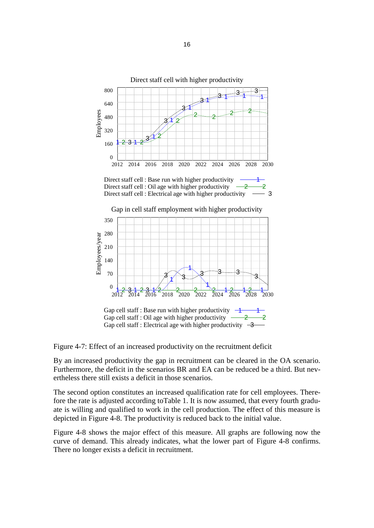

<span id="page-16-0"></span>Figure 4-7: Effect of an increased productivity on the recruitment deficit

By an increased productivity the gap in recruitment can be cleared in the OA scenario. Furthermore, the deficit in the scenarios BR and EA can be reduced be a third. But nevertheless there still exists a deficit in those scenarios.

The second option constitutes an increased qualification rate for cell employees. Therefore the rate is adjusted according t[oTable 1.](#page-9-0) It is now assumed, that every fourth graduate is willing and qualified to work in the cell production. The effect of this measure is depicted in [Figure 4-8.](#page-17-0) The productivity is reduced back to the initial value.

[Figure 4-8](#page-17-0) shows the major effect of this measure. All graphs are following now the curve of demand. This already indicates, what the lower part of [Figure 4-8](#page-17-0) confirms. There no longer exists a deficit in recruitment.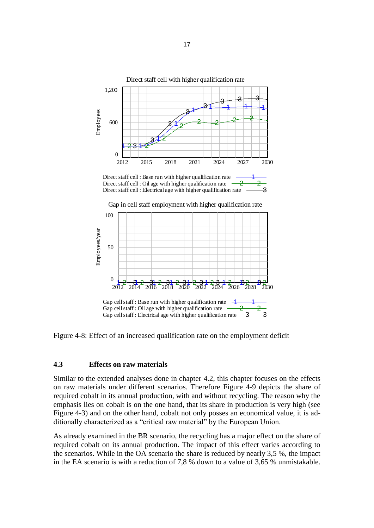

<span id="page-17-0"></span>Figure 4-8: Effect of an increased qualification rate on the employment deficit

## **4.3 Effects on raw materials**

Similar to the extended analyses done in chapter [4.2,](#page-14-1) this chapter focuses on the effects on raw materials under different scenarios. Therefore [Figure 4-9](#page-18-0) depicts the share of required cobalt in its annual production, with and without recycling. The reason why the emphasis lies on cobalt is on the one hand, that its share in production is very high (see [Figure 4-3\)](#page-12-0) and on the other hand, cobalt not only posses an economical value, it is additionally characterized as a "critical raw material" by the European Union.

As already examined in the BR scenario, the recycling has a major effect on the share of required cobalt on its annual production. The impact of this effect varies according to the scenarios. While in the OA scenario the share is reduced by nearly 3,5 %, the impact in the EA scenario is with a reduction of 7,8 % down to a value of 3,65 % unmistakable.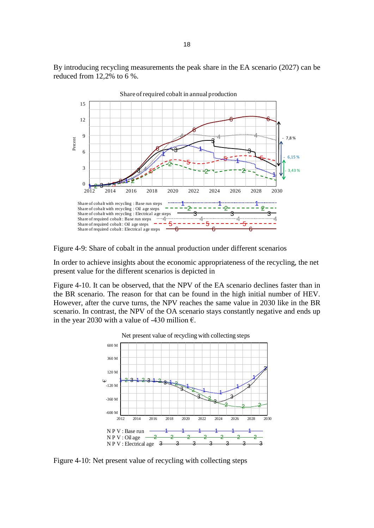By introducing recycling measurements the peak share in the EA scenario (2027) can be reduced from 12,2% to 6 %.



<span id="page-18-0"></span>Figure 4-9: Share of cobalt in the annual production under different scenarios

In order to achieve insights about the economic appropriateness of the recycling, the net present value for the different scenarios is depicted in

[Figure 4-10.](#page-18-1) It can be observed, that the NPV of the EA scenario declines faster than in the BR scenario. The reason for that can be found in the high initial number of HEV. However, after the curve turns, the NPV reaches the same value in 2030 like in the BR scenario. In contrast, the NPV of the OA scenario stays constantly negative and ends up in the year 2030 with a value of -430 million  $\epsilon$ .

<span id="page-18-1"></span>

Figure 4-10: Net present value of recycling with collecting steps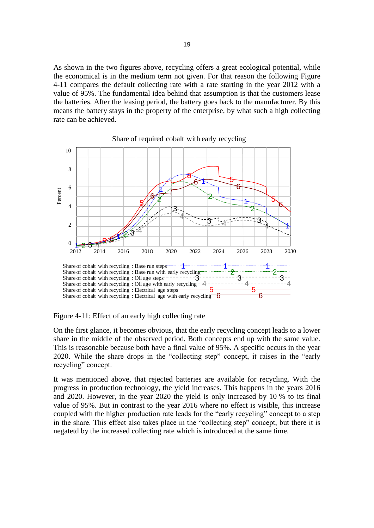As shown in the two figures above, recycling offers a great ecological potential, while the economical is in the medium term not given. For that reason the following [Figure](#page-19-0)  [4-11](#page-19-0) compares the default collecting rate with a rate starting in the year 2012 with a value of 95%. The fundamental idea behind that assumption is that the customers lease the batteries. After the leasing period, the battery goes back to the manufacturer. By this means the battery stays in the property of the enterprise, by what such a high collecting rate can be achieved.



Share of required cobalt with early recycling

<span id="page-19-0"></span>Figure 4-11: Effect of an early high collecting rate

On the first glance, it becomes obvious, that the early recycling concept leads to a lower share in the middle of the observed period. Both concepts end up with the same value. This is reasonable because both have a final value of 95%. A specific occurs in the year 2020. While the share drops in the "collecting step" concept, it raises in the "early recycling" concept.

It was mentioned above, that rejected batteries are available for recycling. With the progress in production technology, the yield increases. This happens in the years 2016 and 2020. However, in the year 2020 the yield is only increased by 10 % to its final value of 95%. But in contrast to the year 2016 where no effect is visible, this increase coupled with the higher production rate leads for the "early recycling" concept to a step in the share. This effect also takes place in the "collecting step" concept, but there it is negatetd by the increased collecting rate which is introduced at the same time.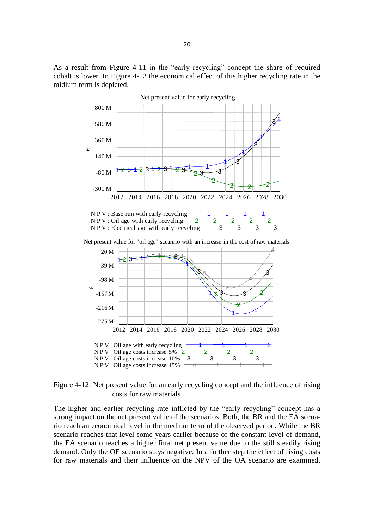As a result from [Figure 4-11](#page-19-0) in the "early recycling" concept the share of required cobalt is lower. In [Figure 4-12](#page-20-0) the economical effect of this higher recycling rate in the midium term is depicted.



<span id="page-20-0"></span>Figure 4-12: Net present value for an early recycling concept and the influence of rising costs for raw materials

The higher and earlier recycling rate inflicted by the "early recycling" concept has a strong impact on the net present value of the scenarios. Both, the BR and the EA scenario reach an economical level in the medium term of the observed period. While the BR scenario reaches that level some years earlier because of the constant level of demand, the EA scenario reaches a higher final net present value due to the still steadily rising demand. Only the OE scenario stays negative. In a further step the effect of rising costs for raw materials and their influence on the NPV of the OA scenario are examined.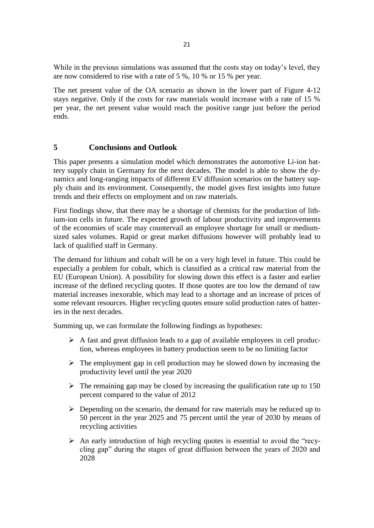While in the previous simulations was assumed that the costs stay on today's level, they are now considered to rise with a rate of 5 %, 10 % or 15 % per year.

The net present value of the OA scenario as shown in the lower part of [Figure 4-12](#page-20-0) stays negative. Only if the costs for raw materials would increase with a rate of 15 % per year, the net present value would reach the positive range just before the period ends.

## **5 Conclusions and Outlook**

This paper presents a simulation model which demonstrates the automotive Li-ion battery supply chain in Germany for the next decades. The model is able to show the dynamics and long-ranging impacts of different EV diffusion scenarios on the battery supply chain and its environment. Consequently, the model gives first insights into future trends and their effects on employment and on raw materials.

First findings show, that there may be a shortage of chemists for the production of lithium-ion cells in future. The expected growth of labour productivity and improvements of the economies of scale may countervail an employee shortage for small or mediumsized sales volumes. Rapid or great market diffusions however will probably lead to lack of qualified staff in Germany.

The demand for lithium and cobalt will be on a very high level in future. This could be especially a problem for cobalt, which is classified as a critical raw material from the EU (European Union). A possibility for slowing down this effect is a faster and earlier increase of the defined recycling quotes. If those quotes are too low the demand of raw material increases inexorable, which may lead to a shortage and an increase of prices of some relevant resources. Higher recycling quotes ensure solid production rates of batteries in the next decades.

Summing up, we can formulate the following findings as hypotheses:

- $\triangleright$  A fast and great diffusion leads to a gap of available employees in cell production, whereas employees in battery production seem to be no limiting factor
- $\triangleright$  The employment gap in cell production may be slowed down by increasing the productivity level until the year 2020
- $\triangleright$  The remaining gap may be closed by increasing the qualification rate up to 150 percent compared to the value of 2012
- $\triangleright$  Depending on the scenario, the demand for raw materials may be reduced up to 50 percent in the year 2025 and 75 percent until the year of 2030 by means of recycling activities
- $\triangleright$  An early introduction of high recycling quotes is essential to avoid the "recycling gap" during the stages of great diffusion between the years of 2020 and 2028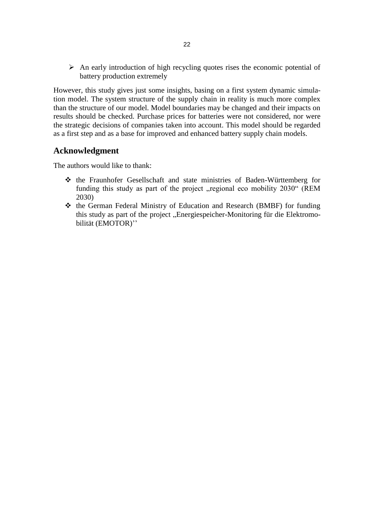$\triangleright$  An early introduction of high recycling quotes rises the economic potential of battery production extremely

However, this study gives just some insights, basing on a first system dynamic simulation model. The system structure of the supply chain in reality is much more complex than the structure of our model. Model boundaries may be changed and their impacts on results should be checked. Purchase prices for batteries were not considered, nor were the strategic decisions of companies taken into account. This model should be regarded as a first step and as a base for improved and enhanced battery supply chain models.

# **Acknowledgment**

The authors would like to thank:

- the Fraunhofer Gesellschaft and state ministries of Baden-Württemberg for funding this study as part of the project "regional eco mobility 2030" (REM 2030)
- the German Federal Ministry of Education and Research (BMBF) for funding this study as part of the project "Energiespeicher-Monitoring für die Elektromobilität (EMOTOR)''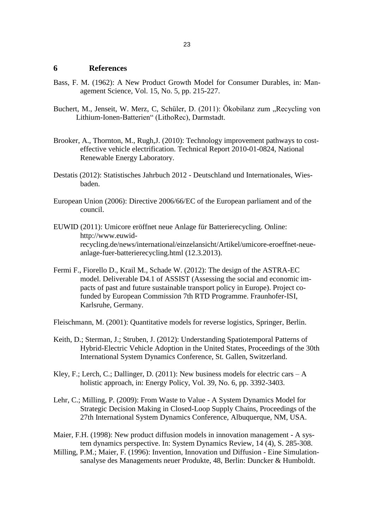#### **6 References**

- Bass, F. M. (1962): A New Product Growth Model for Consumer Durables, in: Management Science, Vol. 15, No. 5, pp. 215-227.
- Buchert, M., Jenseit, W. Merz, C, Schüler, D. (2011): Ökobilanz zum "Recycling von Lithium-Ionen-Batterien" (LithoRec), Darmstadt.
- Brooker, A., Thornton, M., Rugh,J. (2010): Technology improvement pathways to costeffective vehicle electrification. Technical Report 2010-01-0824, National Renewable Energy Laboratory.
- Destatis (2012): Statistisches Jahrbuch 2012 Deutschland und Internationales, Wiesbaden.
- European Union (2006): Directive 2006/66/EC of the European parliament and of the council.
- EUWID (2011): Umicore eröffnet neue Anlage für Batterierecycling. Online: [http://www.euwid](http://www.euwid-recycling.de/news/international/einzelansicht/Artikel/umicore-eroeffnet-neue-anlage-fuer-batterierecycling.html)[recycling.de/news/international/einzelansicht/Artikel/umicore-eroeffnet-neue](http://www.euwid-recycling.de/news/international/einzelansicht/Artikel/umicore-eroeffnet-neue-anlage-fuer-batterierecycling.html)[anlage-fuer-batterierecycling.html](http://www.euwid-recycling.de/news/international/einzelansicht/Artikel/umicore-eroeffnet-neue-anlage-fuer-batterierecycling.html) (12.3.2013).
- Fermi F., Fiorello D., Krail M., Schade W. (2012): The design of the ASTRA-EC model. Deliverable D4.1 of ASSIST (Assessing the social and economic impacts of past and future sustainable transport policy in Europe). Project cofunded by European Commission 7th RTD Programme. Fraunhofer-ISI, Karlsruhe, Germany.
- Fleischmann, M. (2001): Quantitative models for reverse logistics, Springer, Berlin.
- Keith, D.; Sterman, J.; Struben, J. (2012): Understanding Spatiotemporal Patterns of Hybrid-Electric Vehicle Adoption in the United States, Proceedings of the 30th International System Dynamics Conference, St. Gallen, Switzerland.
- Kley, F.; Lerch, C.; Dallinger, D. (2011): New business models for electric cars  $-A$ holistic approach, in: Energy Policy, Vol. 39, No. 6, pp. 3392-3403.
- Lehr, C.; Milling, P. (2009): From Waste to Value [A System Dynamics Model for](https://ub-madoc.bib.uni-mannheim.de/27799)  [Strategic Decision Making in Closed-Loop Supply Chains,](https://ub-madoc.bib.uni-mannheim.de/27799) Proceedings of the 27th International System Dynamics Conference, Albuquerque, NM, USA.
- Maier, F.H. (1998): New product diffusion models in innovation management A system dynamics perspective. In: System Dynamics Review, 14 (4), S. 285-308.
- Milling, P.M.; Maier, F. (1996): Invention, Innovation und Diffusion Eine Simulationsanalyse des Managements neuer Produkte, 48, Berlin: Duncker & Humboldt.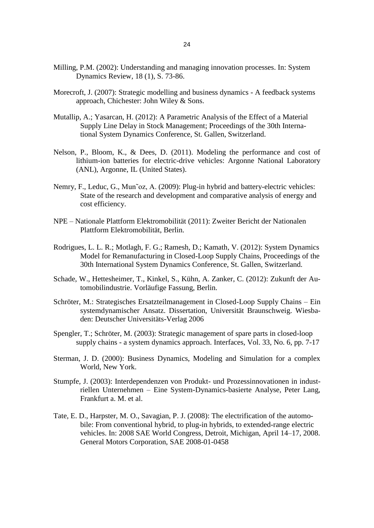- Milling, P.M. (2002): Understanding and managing innovation processes. In: System Dynamics Review, 18 (1), S. 73-86.
- Morecroft, J. (2007): Strategic modelling and business dynamics A feedback systems approach, Chichester: John Wiley & Sons.
- Mutallip, A.; Yasarcan, H. (2012): A Parametric Analysis of the Effect of a Material Supply Line Delay in Stock Management; Proceedings of the 30th International System Dynamics Conference, St. Gallen, Switzerland.
- Nelson, P., Bloom, K., & Dees, D. (2011). Modeling the performance and cost of lithium-ion batteries for electric-drive vehicles: Argonne National Laboratory (ANL), Argonne, IL (United States).
- Nemry, F., Leduc, G., Mun~oz, A. (2009): Plug-in hybrid and battery-electric vehicles: State of the research and development and comparative analysis of energy and cost efficiency.
- NPE Nationale Plattform Elektromobilität (2011): Zweiter Bericht der Nationalen Plattform Elektromobilität, Berlin.
- Rodrigues, L. L. R.; Motlagh, F. G.; Ramesh, D.; Kamath, V. (2012): System Dynamics Model for Remanufacturing in Closed-Loop Supply Chains, Proceedings of the 30th International System Dynamics Conference, St. Gallen, Switzerland.
- Schade, W., Hettesheimer, T., Kinkel, S., Kühn, A. Zanker, C. (2012): Zukunft der Automobilindustrie. Vorläufige Fassung, Berlin.
- Schröter, M.: Strategisches Ersatzteilmanagement in Closed-Loop Supply Chains Ein systemdynamischer Ansatz. Dissertation, Universität Braunschweig. Wiesbaden: Deutscher Universitäts-Verlag 2006
- Spengler, T.; Schröter, M. (2003): Strategic management of spare parts in closed-loop supply chains - a system dynamics approach. Interfaces, Vol. 33, No. 6, pp. 7-17
- Sterman, J. D. (2000): Business Dynamics, Modeling and Simulation for a complex World, New York.
- Stumpfe, J. (2003): Interdependenzen von Produkt- und Prozessinnovationen in industriellen Unternehmen – Eine System-Dynamics-basierte Analyse, Peter Lang, Frankfurt a. M. et al.
- Tate, E. D., Harpster, M. O., Savagian, P. J. (2008): The electrification of the automobile: From conventional hybrid, to plug-in hybrids, to extended-range electric vehicles. In: 2008 SAE World Congress, Detroit, Michigan, April 14–17, 2008. General Motors Corporation, SAE 2008-01-0458